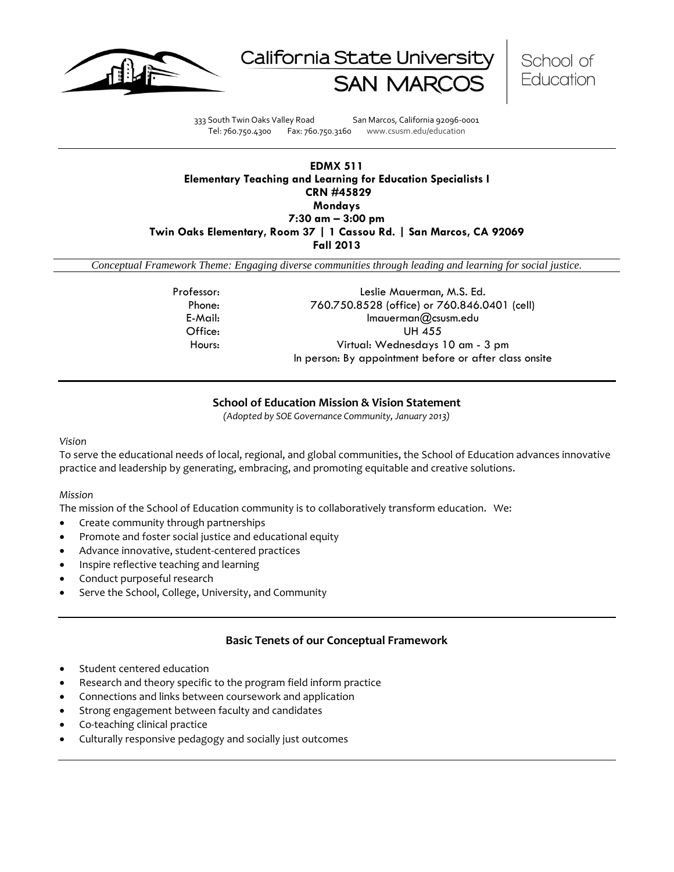





333 South Twin Oaks Valley Road San Marcos, California 92096-0001 Tel: 760.750.4300 Fax: 760.750.3160 www.csusm.edu/education

### **EDMX 511 Elementary Teaching and Learning for Education Specialists I CRN #45829 Mondays 7:30 am – 3:00 pm Twin Oaks Elementary, Room 37 | 1 Cassou Rd. | San Marcos, CA 92069 Fall 2013**

*Conceptual Framework Theme: Engaging diverse communities through leading and learning for social justice.*

| Professor: | Leslie Mauerman, M.S. Ed.                              |
|------------|--------------------------------------------------------|
| Phone:     | 760.750.8528 (office) or 760.846.0401 (cell)           |
| E-Mail:    | $Imaverman@csws$ m.edu                                 |
| Office:    | UH 455                                                 |
| Hours:     | Virtual: Wednesdays 10 am - 3 pm                       |
|            | In person: By appointment before or after class onsite |

### **School of Education Mission & Vision Statement**

*(Adopted by SOE Governance Community, January 2013)*

#### *Vision*

To serve the educational needs of local, regional, and global communities, the School of Education advances innovative practice and leadership by generating, embracing, and promoting equitable and creative solutions.

#### *Mission*

The mission of the School of Education community is to collaboratively transform education. We:

- Create community through partnerships
- Promote and foster social justice and educational equity
- Advance innovative, student-centered practices
- Inspire reflective teaching and learning
- Conduct purposeful research
- Serve the School, College, University, and Community

#### **Basic Tenets of our Conceptual Framework**

- Student centered education
- Research and theory specific to the program field inform practice
- Connections and links between coursework and application
- Strong engagement between faculty and candidates
- Co-teaching clinical practice
- Culturally responsive pedagogy and socially just outcomes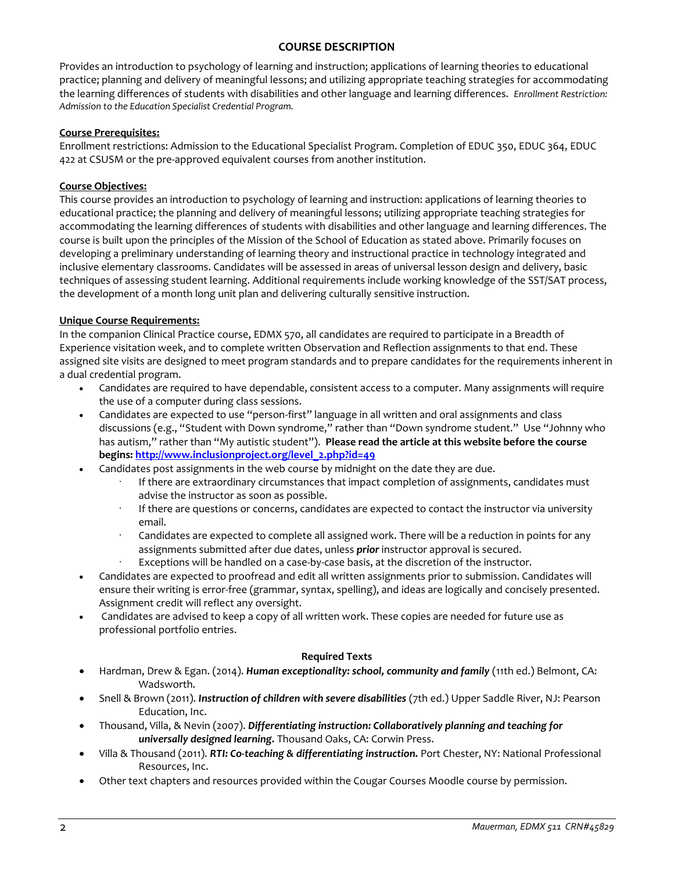### **COURSE DESCRIPTION**

Provides an introduction to psychology of learning and instruction; applications of learning theories to educational practice; planning and delivery of meaningful lessons; and utilizing appropriate teaching strategies for accommodating the learning differences of students with disabilities and other language and learning differences. *Enrollment Restriction: Admission to the Education Specialist Credential Program.* 

### **Course Prerequisites:**

Enrollment restrictions: Admission to the Educational Specialist Program. Completion of EDUC 350, EDUC 364, EDUC 422 at CSUSM or the pre-approved equivalent courses from another institution.

### **Course Objectives:**

This course provides an introduction to psychology of learning and instruction: applications of learning theories to educational practice; the planning and delivery of meaningful lessons; utilizing appropriate teaching strategies for accommodating the learning differences of students with disabilities and other language and learning differences. The course is built upon the principles of the Mission of the School of Education as stated above. Primarily focuses on developing a preliminary understanding of learning theory and instructional practice in technology integrated and inclusive elementary classrooms. Candidates will be assessed in areas of universal lesson design and delivery, basic techniques of assessing student learning. Additional requirements include working knowledge of the SST/SAT process, the development of a month long unit plan and delivering culturally sensitive instruction.

### **Unique Course Requirements:**

In the companion Clinical Practice course, EDMX 570, all candidates are required to participate in a Breadth of Experience visitation week, and to complete written Observation and Reflection assignments to that end. These assigned site visits are designed to meet program standards and to prepare candidates for the requirements inherent in a dual credential program.

- Candidates are required to have dependable, consistent access to a computer. Many assignments will require the use of a computer during class sessions.
- Candidates are expected to use "person-first" language in all written and oral assignments and class discussions (e.g., "Student with Down syndrome," rather than "Down syndrome student." Use "Johnny who has autism," rather than "My autistic student"). **Please read the article at this website before the course begins: [http://www.inclusionproject.org/level\\_2.php?id=49](http://www.inclusionproject.org/level_2.php?id=49)**
- Candidates post assignments in the web course by midnight on the date they are due.
	- If there are extraordinary circumstances that impact completion of assignments, candidates must advise the instructor as soon as possible.
	- If there are questions or concerns, candidates are expected to contact the instructor via university email.
	- Candidates are expected to complete all assigned work. There will be a reduction in points for any assignments submitted after due dates, unless *prior* instructor approval is secured.
	- Exceptions will be handled on a case-by-case basis, at the discretion of the instructor.
- Candidates are expected to proofread and edit all written assignments prior to submission. Candidates will ensure their writing is error-free (grammar, syntax, spelling), and ideas are logically and concisely presented. Assignment credit will reflect any oversight.
- Candidates are advised to keep a copy of all written work. These copies are needed for future use as professional portfolio entries.

### **Required Texts**

- Hardman, Drew & Egan. (2014). *Human exceptionality: school, community and family* (11th ed.) Belmont, CA: Wadsworth.
- Snell & Brown (2011). *Instruction of children with severe disabilities* (7th ed.) Upper Saddle River, NJ: Pearson Education, Inc.
- Thousand, Villa, & Nevin (2007). *Differentiating instruction: Collaboratively planning and teaching for universally designed learning.* Thousand Oaks, CA: Corwin Press.
- Villa & Thousand (2011). *RTI: Co-teaching & differentiating instruction.* Port Chester, NY: National Professional Resources, Inc.
- Other text chapters and resources provided within the Cougar Courses Moodle course by permission.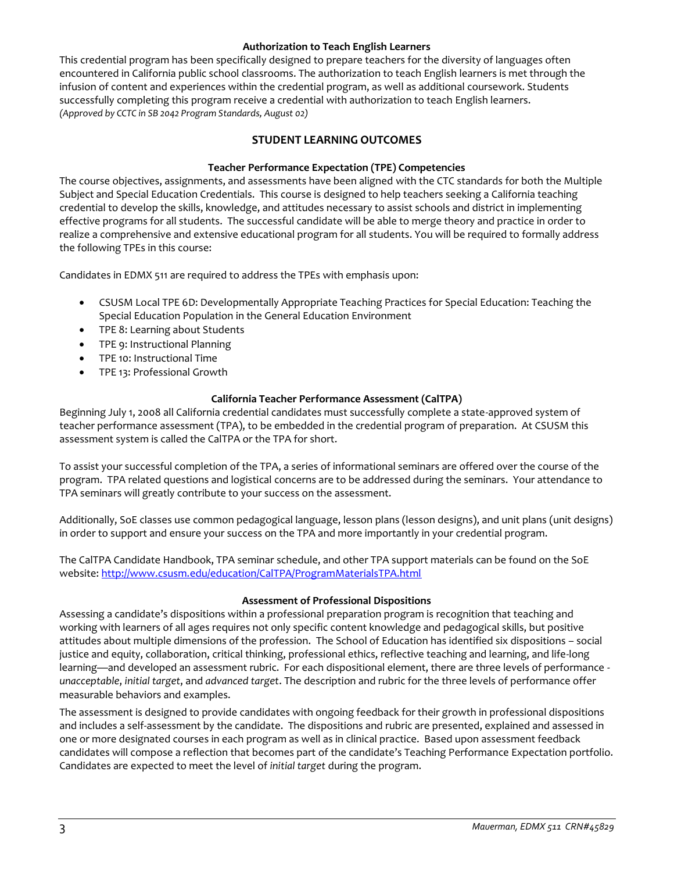### **Authorization to Teach English Learners**

This credential program has been specifically designed to prepare teachers for the diversity of languages often encountered in California public school classrooms. The authorization to teach English learners is met through the infusion of content and experiences within the credential program, as well as additional coursework. Students successfully completing this program receive a credential with authorization to teach English learners. *(Approved by CCTC in SB 2042 Program Standards, August 02)*

## **STUDENT LEARNING OUTCOMES**

### **Teacher Performance Expectation (TPE) Competencies**

The course objectives, assignments, and assessments have been aligned with the CTC standards for both the Multiple Subject and Special Education Credentials. This course is designed to help teachers seeking a California teaching credential to develop the skills, knowledge, and attitudes necessary to assist schools and district in implementing effective programs for all students. The successful candidate will be able to merge theory and practice in order to realize a comprehensive and extensive educational program for all students. You will be required to formally address the following TPEs in this course:

Candidates in EDMX 511 are required to address the TPEs with emphasis upon:

- CSUSM Local TPE 6D: Developmentally Appropriate Teaching Practices for Special Education: Teaching the Special Education Population in the General Education Environment
- TPE 8: Learning about Students
- TPE 9: Instructional Planning
- TPE 10: Instructional Time
- TPE 13: Professional Growth

### **California Teacher Performance Assessment (CalTPA)**

Beginning July 1, 2008 all California credential candidates must successfully complete a state-approved system of teacher performance assessment (TPA), to be embedded in the credential program of preparation. At CSUSM this assessment system is called the CalTPA or the TPA for short.

To assist your successful completion of the TPA, a series of informational seminars are offered over the course of the program. TPA related questions and logistical concerns are to be addressed during the seminars. Your attendance to TPA seminars will greatly contribute to your success on the assessment.

Additionally, SoE classes use common pedagogical language, lesson plans (lesson designs), and unit plans (unit designs) in order to support and ensure your success on the TPA and more importantly in your credential program.

The CalTPA Candidate Handbook, TPA seminar schedule, and other TPA support materials can be found on the SoE website:<http://www.csusm.edu/education/CalTPA/ProgramMaterialsTPA.html>

#### **Assessment of Professional Dispositions**

Assessing a candidate's dispositions within a professional preparation program is recognition that teaching and working with learners of all ages requires not only specific content knowledge and pedagogical skills, but positive attitudes about multiple dimensions of the profession. The School of Education has identified six dispositions – social justice and equity, collaboration, critical thinking, professional ethics, reflective teaching and learning, and life-long learning—and developed an assessment rubric. For each dispositional element, there are three levels of performance *unacceptable*, *initial target*, and *advanced target*. The description and rubric for the three levels of performance offer measurable behaviors and examples.

The assessment is designed to provide candidates with ongoing feedback for their growth in professional dispositions and includes a self-assessment by the candidate. The dispositions and rubric are presented, explained and assessed in one or more designated courses in each program as well as in clinical practice. Based upon assessment feedback candidates will compose a reflection that becomes part of the candidate's Teaching Performance Expectation portfolio. Candidates are expected to meet the level of *initial target* during the program.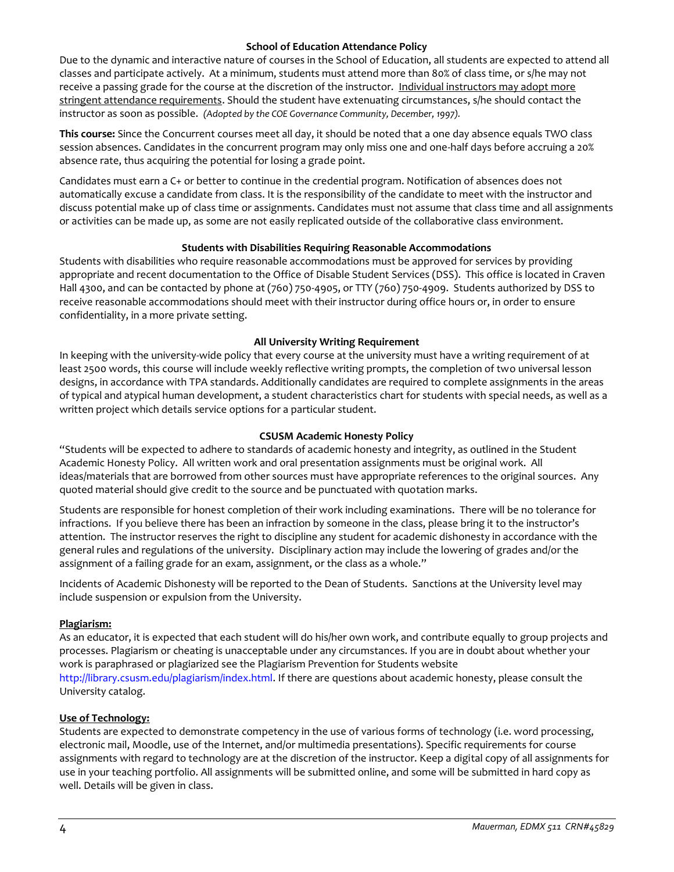#### **School of Education Attendance Policy**

Due to the dynamic and interactive nature of courses in the School of Education, all students are expected to attend all classes and participate actively. At a minimum, students must attend more than 80% of class time, or s/he may not receive a passing grade for the course at the discretion of the instructor. Individual instructors may adopt more stringent attendance requirements. Should the student have extenuating circumstances, s/he should contact the instructor as soon as possible. *(Adopted by the COE Governance Community, December, 1997).*

**This course:** Since the Concurrent courses meet all day, it should be noted that a one day absence equals TWO class session absences. Candidates in the concurrent program may only miss one and one-half days before accruing a 20% absence rate, thus acquiring the potential for losing a grade point.

Candidates must earn a C+ or better to continue in the credential program. Notification of absences does not automatically excuse a candidate from class. It is the responsibility of the candidate to meet with the instructor and discuss potential make up of class time or assignments. Candidates must not assume that class time and all assignments or activities can be made up, as some are not easily replicated outside of the collaborative class environment.

### **Students with Disabilities Requiring Reasonable Accommodations**

Students with disabilities who require reasonable accommodations must be approved for services by providing appropriate and recent documentation to the Office of Disable Student Services (DSS). This office is located in Craven Hall 4300, and can be contacted by phone at (760) 750-4905, or TTY (760) 750-4909. Students authorized by DSS to receive reasonable accommodations should meet with their instructor during office hours or, in order to ensure confidentiality, in a more private setting.

### **All University Writing Requirement**

In keeping with the university-wide policy that every course at the university must have a writing requirement of at least 2500 words, this course will include weekly reflective writing prompts, the completion of two universal lesson designs, in accordance with TPA standards. Additionally candidates are required to complete assignments in the areas of typical and atypical human development, a student characteristics chart for students with special needs, as well as a written project which details service options for a particular student.

### **CSUSM Academic Honesty Policy**

"Students will be expected to adhere to standards of academic honesty and integrity, as outlined in the Student Academic Honesty Policy. All written work and oral presentation assignments must be original work. All ideas/materials that are borrowed from other sources must have appropriate references to the original sources. Any quoted material should give credit to the source and be punctuated with quotation marks.

Students are responsible for honest completion of their work including examinations. There will be no tolerance for infractions. If you believe there has been an infraction by someone in the class, please bring it to the instructor's attention. The instructor reserves the right to discipline any student for academic dishonesty in accordance with the general rules and regulations of the university. Disciplinary action may include the lowering of grades and/or the assignment of a failing grade for an exam, assignment, or the class as a whole."

Incidents of Academic Dishonesty will be reported to the Dean of Students. Sanctions at the University level may include suspension or expulsion from the University.

### **Plagiarism:**

As an educator, it is expected that each student will do his/her own work, and contribute equally to group projects and processes. Plagiarism or cheating is unacceptable under any circumstances. If you are in doubt about whether your work is paraphrased or plagiarized see the Plagiarism Prevention for Students website http://library.csusm.edu/plagiarism/index.html. If there are questions about academic honesty, please consult the University catalog.

#### **Use of Technology:**

Students are expected to demonstrate competency in the use of various forms of technology (i.e. word processing, electronic mail, Moodle, use of the Internet, and/or multimedia presentations). Specific requirements for course assignments with regard to technology are at the discretion of the instructor. Keep a digital copy of all assignments for use in your teaching portfolio. All assignments will be submitted online, and some will be submitted in hard copy as well. Details will be given in class.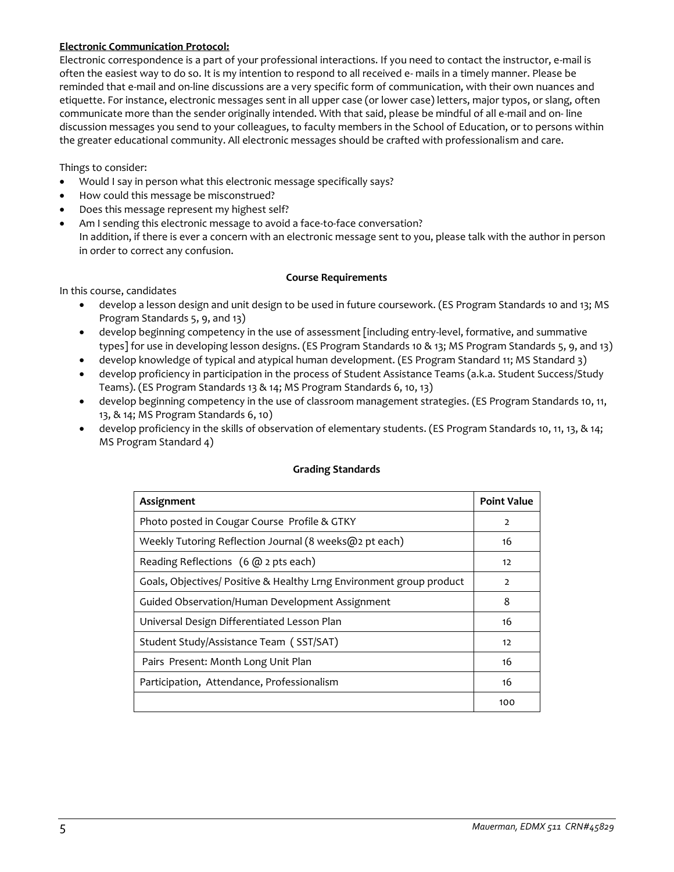### **Electronic Communication Protocol:**

Electronic correspondence is a part of your professional interactions. If you need to contact the instructor, e-mail is often the easiest way to do so. It is my intention to respond to all received e- mails in a timely manner. Please be reminded that e-mail and on-line discussions are a very specific form of communication, with their own nuances and etiquette. For instance, electronic messages sent in all upper case (or lower case) letters, major typos, or slang, often communicate more than the sender originally intended. With that said, please be mindful of all e-mail and on- line discussion messages you send to your colleagues, to faculty members in the School of Education, or to persons within the greater educational community. All electronic messages should be crafted with professionalism and care.

Things to consider:

- Would I say in person what this electronic message specifically says?
- How could this message be misconstrued?
- Does this message represent my highest self?
- Am I sending this electronic message to avoid a face-to-face conversation? In addition, if there is ever a concern with an electronic message sent to you, please talk with the author in person in order to correct any confusion.

### **Course Requirements**

In this course, candidates

- develop a lesson design and unit design to be used in future coursework. (ES Program Standards 10 and 13; MS Program Standards 5, 9, and 13)
- develop beginning competency in the use of assessment [including entry-level, formative, and summative types] for use in developing lesson designs. (ES Program Standards 10 & 13; MS Program Standards 5, 9, and 13)
- develop knowledge of typical and atypical human development. (ES Program Standard 11; MS Standard 3)
- develop proficiency in participation in the process of Student Assistance Teams (a.k.a. Student Success/Study Teams). (ES Program Standards 13 & 14; MS Program Standards 6, 10, 13)
- develop beginning competency in the use of classroom management strategies. (ES Program Standards 10, 11, 13, & 14; MS Program Standards 6, 10)
- develop proficiency in the skills of observation of elementary students. (ES Program Standards 10, 11, 13, & 14; MS Program Standard 4)

| Assignment                                                           | <b>Point Value</b> |
|----------------------------------------------------------------------|--------------------|
| Photo posted in Cougar Course Profile & GTKY                         | $\overline{2}$     |
| Weekly Tutoring Reflection Journal (8 weeks@2 pt each)               | 16                 |
| Reading Reflections (6 @ 2 pts each)                                 | 12                 |
| Goals, Objectives/ Positive & Healthy Lrng Environment group product | $\overline{2}$     |
| Guided Observation/Human Development Assignment                      | 8                  |
| Universal Design Differentiated Lesson Plan                          | 16                 |
| Student Study/Assistance Team (SST/SAT)                              | 12                 |
| Pairs Present: Month Long Unit Plan                                  | 16                 |
| Participation, Attendance, Professionalism                           | 16                 |
|                                                                      | 100                |

#### **Grading Standards**